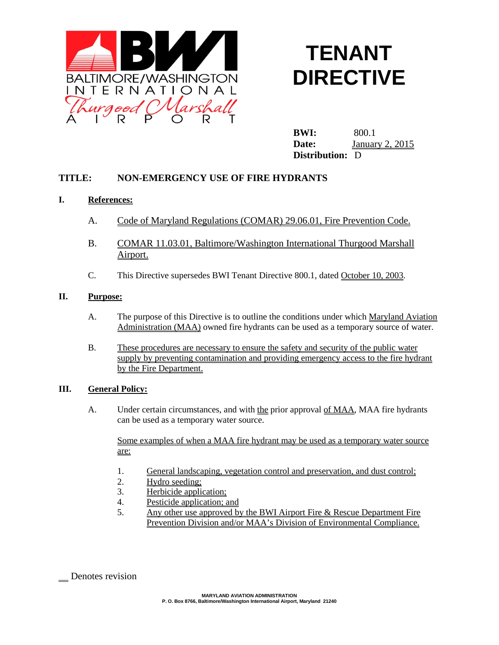

# **TENANT DIRECTIVE**

**BWI:** 800.1 **Date:** January 2, 2015 **Distribution:** D

# **TITLE: NON-EMERGENCY USE OF FIRE HYDRANTS**

## **I. References:**

- A. Code of Maryland Regulations (COMAR) 29.06.01, Fire Prevention Code.
- B. COMAR 11.03.01, Baltimore/Washington International Thurgood Marshall Airport.
- C. This Directive supersedes BWI Tenant Directive 800.1, dated October 10, 2003.

## **II. Purpose:**

- A. The purpose of this Directive is to outline the conditions under which Maryland Aviation Administration (MAA) owned fire hydrants can be used as a temporary source of water.
- B. These procedures are necessary to ensure the safety and security of the public water supply by preventing contamination and providing emergency access to the fire hydrant by the Fire Department.

#### **III. General Policy:**

A. Under certain circumstances, and with the prior approval of MAA, MAA fire hydrants can be used as a temporary water source.

Some examples of when a MAA fire hydrant may be used as a temporary water source are:

- 1. General landscaping, vegetation control and preservation, and dust control;
- 2. Hydro seeding;
- 3. Herbicide application;
- 4. Pesticide application; and
- 5. Any other use approved by the BWI Airport Fire & Rescue Department Fire Prevention Division and/or MAA's Division of Environmental Compliance.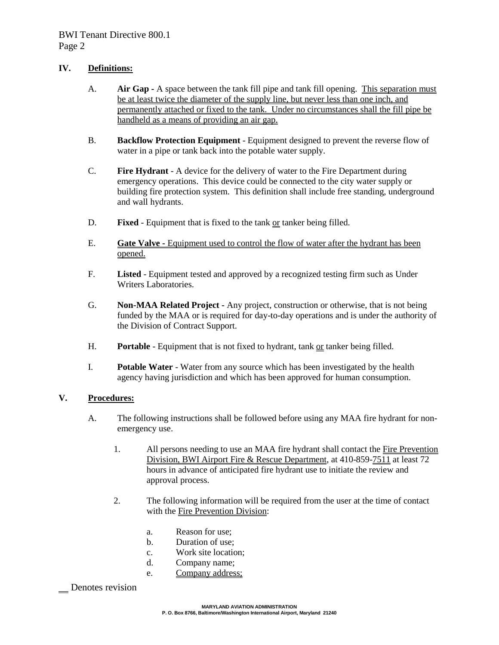## **IV. Definitions:**

- A. **Air Gap -** A space between the tank fill pipe and tank fill opening. This separation must be at least twice the diameter of the supply line, but never less than one inch, and permanently attached or fixed to the tank. Under no circumstances shall the fill pipe be handheld as a means of providing an air gap.
- B. **Backflow Protection Equipment** Equipment designed to prevent the reverse flow of water in a pipe or tank back into the potable water supply.
- C. **Fire Hydrant** A device for the delivery of water to the Fire Department during emergency operations. This device could be connected to the city water supply or building fire protection system. This definition shall include free standing, underground and wall hydrants.
- D. **Fixed** Equipment that is fixed to the tank or tanker being filled.
- E. **Gate Valve -** Equipment used to control the flow of water after the hydrant has been opened.
- F. **Listed** Equipment tested and approved by a recognized testing firm such as Under Writers Laboratories.
- G. **Non-MAA Related Project -** Any project, construction or otherwise, that is not being funded by the MAA or is required for day-to-day operations and is under the authority of the Division of Contract Support.
- H. **Portable** Equipment that is not fixed to hydrant, tank or tanker being filled.
- I. **Potable Water** Water from any source which has been investigated by the health agency having jurisdiction and which has been approved for human consumption.

#### **V. Procedures:**

- A. The following instructions shall be followed before using any MAA fire hydrant for nonemergency use.
	- 1. All persons needing to use an MAA fire hydrant shall contact the Fire Prevention Division, BWI Airport Fire & Rescue Department, at 410-859-7511 at least 72 hours in advance of anticipated fire hydrant use to initiate the review and approval process.
	- 2. The following information will be required from the user at the time of contact with the Fire Prevention Division:
		- a. Reason for use;
		- b. Duration of use;
		- c. Work site location;
		- d. Company name;
		- e. Company address;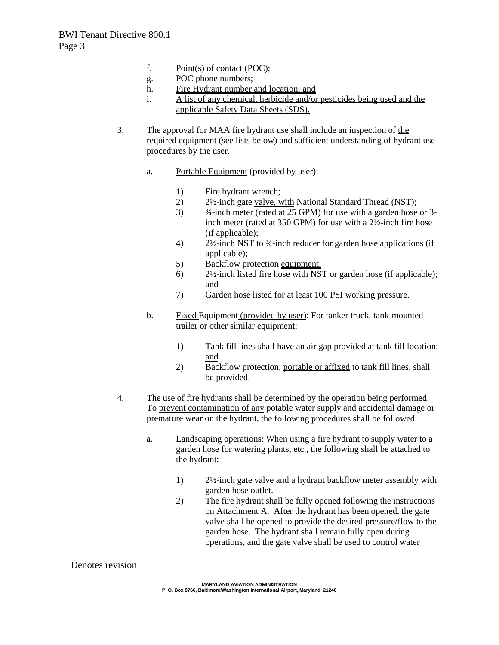- f. Point(s) of contact (POC);
- g. POC phone numbers;
- h. Fire Hydrant number and location; and
- i. A list of any chemical, herbicide and/or pesticides being used and the applicable Safety Data Sheets (SDS).
- 3. The approval for MAA fire hydrant use shall include an inspection of the required equipment (see lists below) and sufficient understanding of hydrant use procedures by the user.
	- a. Portable Equipment (provided by user):
		- 1) Fire hydrant wrench;
		- 2) 2½-inch gate valve, with National Standard Thread (NST);
		- 3) ¾-inch meter (rated at 25 GPM) for use with a garden hose or 3 inch meter (rated at 350 GPM) for use with a 2½-inch fire hose (if applicable);
		- 4) 2½-inch NST to ¾-inch reducer for garden hose applications (if applicable);
		- 5) Backflow protection equipment;
		- 6) 2½-inch listed fire hose with NST or garden hose (if applicable); and
		- 7) Garden hose listed for at least 100 PSI working pressure.
	- b. Fixed Equipment (provided by user): For tanker truck, tank-mounted trailer or other similar equipment:
		- 1) Tank fill lines shall have an air gap provided at tank fill location; and
		- 2) Backflow protection, portable or affixed to tank fill lines, shall be provided.
- 4. The use of fire hydrants shall be determined by the operation being performed. To prevent contamination of any potable water supply and accidental damage or premature wear on the hydrant, the following procedures shall be followed:
	- a. Landscaping operations: When using a fire hydrant to supply water to a garden hose for watering plants, etc., the following shall be attached to the hydrant:
		- 1) 2½-inch gate valve and a hydrant backflow meter assembly with garden hose outlet.
		- 2) The fire hydrant shall be fully opened following the instructions on Attachment A. After the hydrant has been opened, the gate valve shall be opened to provide the desired pressure/flow to the garden hose. The hydrant shall remain fully open during operations, and the gate valve shall be used to control water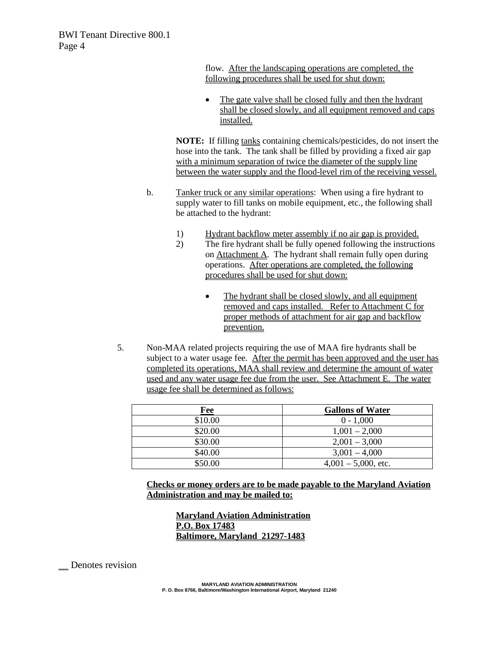flow. After the landscaping operations are completed, the following procedures shall be used for shut down:

The gate valve shall be closed fully and then the hydrant shall be closed slowly, and all equipment removed and caps installed.

**NOTE:** If filling tanks containing chemicals/pesticides, do not insert the hose into the tank. The tank shall be filled by providing a fixed air gap with a minimum separation of twice the diameter of the supply line between the water supply and the flood-level rim of the receiving vessel.

- b. Tanker truck or any similar operations: When using a fire hydrant to supply water to fill tanks on mobile equipment, etc., the following shall be attached to the hydrant:
	- 1) Hydrant backflow meter assembly if no air gap is provided.
	- 2) The fire hydrant shall be fully opened following the instructions on Attachment A. The hydrant shall remain fully open during operations. After operations are completed, the following procedures shall be used for shut down:
		- The hydrant shall be closed slowly, and all equipment removed and caps installed. Refer to Attachment C for proper methods of attachment for air gap and backflow prevention.
- 5. Non-MAA related projects requiring the use of MAA fire hydrants shall be subject to a water usage fee. After the permit has been approved and the user has completed its operations, MAA shall review and determine the amount of water used and any water usage fee due from the user. See Attachment E. The water usage fee shall be determined as follows:

| Fee     | <b>Gallons of Water</b> |
|---------|-------------------------|
| \$10.00 | $0 - 1,000$             |
| \$20.00 | $1,001 - 2,000$         |
| \$30.00 | $2,001 - 3,000$         |
| \$40.00 | $3,001 - 4,000$         |
| \$50.00 | $4,001 - 5,000$ , etc.  |

**Checks or money orders are to be made payable to the Maryland Aviation Administration and may be mailed to:**

**Maryland Aviation Administration P.O. Box 17483 Baltimore, Maryland 21297-1483**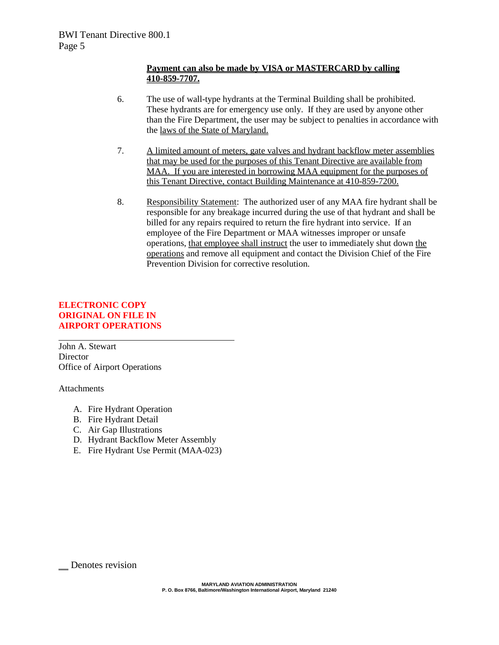## **Payment can also be made by VISA or MASTERCARD by calling 410-859-7707.**

- 6. The use of wall-type hydrants at the Terminal Building shall be prohibited. These hydrants are for emergency use only. If they are used by anyone other than the Fire Department, the user may be subject to penalties in accordance with the laws of the State of Maryland.
- 7. A limited amount of meters, gate valves and hydrant backflow meter assemblies that may be used for the purposes of this Tenant Directive are available from MAA. If you are interested in borrowing MAA equipment for the purposes of this Tenant Directive, contact Building Maintenance at 410-859-7200.
- 8. Responsibility Statement: The authorized user of any MAA fire hydrant shall be responsible for any breakage incurred during the use of that hydrant and shall be billed for any repairs required to return the fire hydrant into service. If an employee of the Fire Department or MAA witnesses improper or unsafe operations, that employee shall instruct the user to immediately shut down the operations and remove all equipment and contact the Division Chief of the Fire Prevention Division for corrective resolution.

## **ELECTRONIC COPY ORIGINAL ON FILE IN AIRPORT OPERATIONS**

John A. Stewart **Director** Office of Airport Operations

Attachments

- A. Fire Hydrant Operation
- B. Fire Hydrant Detail
- C. Air Gap Illustrations
- D. Hydrant Backflow Meter Assembly
- E. Fire Hydrant Use Permit (MAA-023)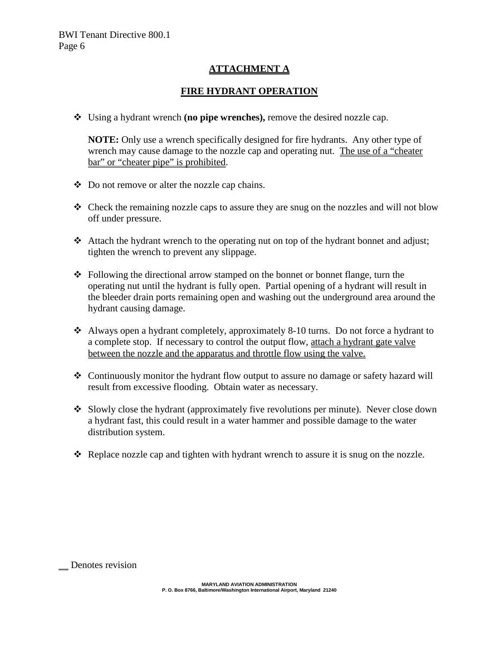# **ATTACHMENT A**

# **FIRE HYDRANT OPERATION**

Using a hydrant wrench **(no pipe wrenches),** remove the desired nozzle cap.

**NOTE:** Only use a wrench specifically designed for fire hydrants. Any other type of wrench may cause damage to the nozzle cap and operating nut. The use of a "cheater bar" or "cheater pipe" is prohibited.

- Do not remove or alter the nozzle cap chains.
- \* Check the remaining nozzle caps to assure they are snug on the nozzles and will not blow off under pressure.
- Attach the hydrant wrench to the operating nut on top of the hydrant bonnet and adjust; tighten the wrench to prevent any slippage.
- $\triangle$  Following the directional arrow stamped on the bonnet or bonnet flange, turn the operating nut until the hydrant is fully open. Partial opening of a hydrant will result in the bleeder drain ports remaining open and washing out the underground area around the hydrant causing damage.
- Always open a hydrant completely, approximately 8-10 turns. Do not force a hydrant to a complete stop. If necessary to control the output flow, attach a hydrant gate valve between the nozzle and the apparatus and throttle flow using the valve.
- \* Continuously monitor the hydrant flow output to assure no damage or safety hazard will result from excessive flooding. Obtain water as necessary.
- Slowly close the hydrant (approximately five revolutions per minute). Never close down a hydrant fast, this could result in a water hammer and possible damage to the water distribution system.
- Replace nozzle cap and tighten with hydrant wrench to assure it is snug on the nozzle.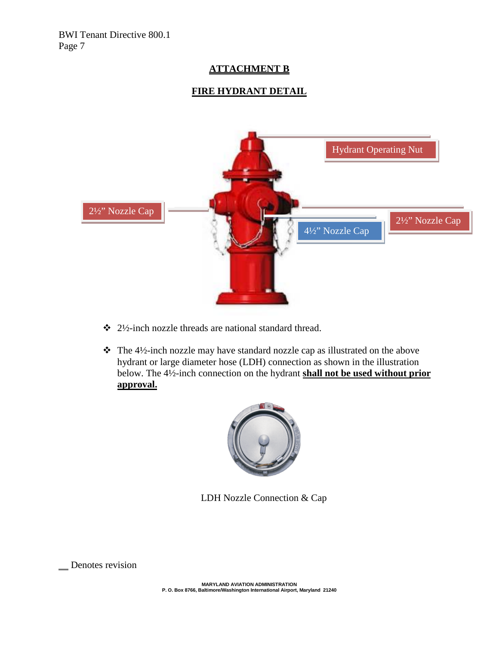# **ATTACHMENT B**

# **FIRE HYDRANT DETAIL**



- $\div$  2½-inch nozzle threads are national standard thread.
- \* The 4½-inch nozzle may have standard nozzle cap as illustrated on the above hydrant or large diameter hose (LDH) connection as shown in the illustration below. The 4½-inch connection on the hydrant **shall not be used without prior approval.**



LDH Nozzle Connection & Cap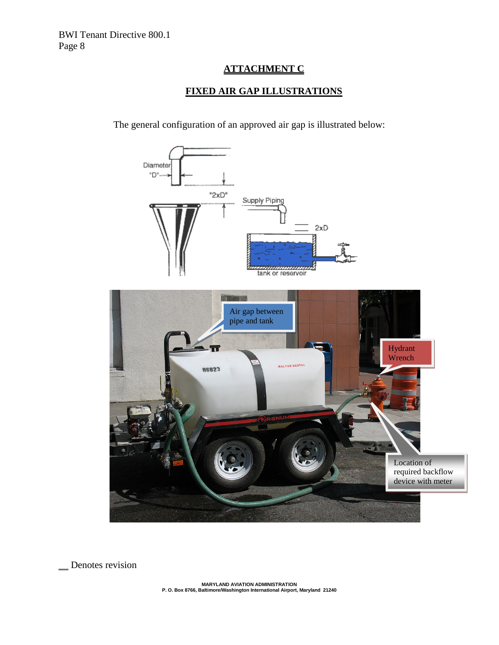# **ATTACHMENT C**

# **FIXED AIR GAP ILLUSTRATIONS**

The general configuration of an approved air gap is illustrated below:



Denotes revision

**MARYLAND AVIATION ADMINISTRATION P. O. Box 8766, Baltimore/Washington International Airport, Maryland 21240**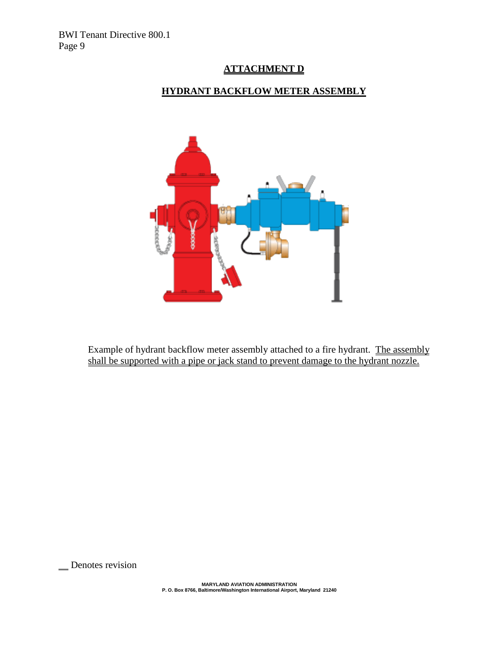BWI Tenant Directive 800.1 Page 9

# **ATTACHMENT D**

# **HYDRANT BACKFLOW METER ASSEMBLY**



Example of hydrant backflow meter assembly attached to a fire hydrant. The assembly shall be supported with a pipe or jack stand to prevent damage to the hydrant nozzle.